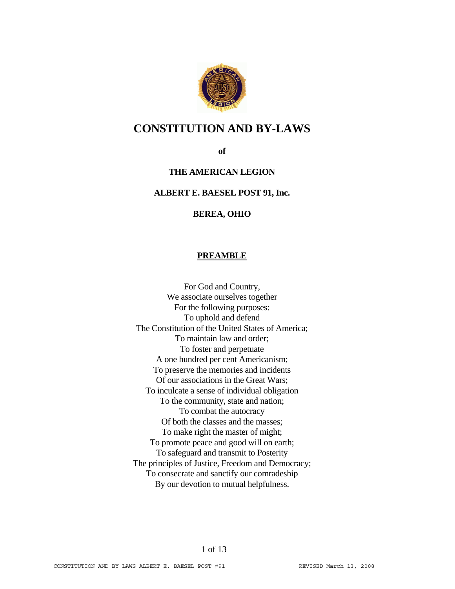

## **CONSTITUTION AND BY-LAWS**

**of** 

## **THE AMERICAN LEGION**

#### **ALBERT E. BAESEL POST 91, Inc.**

#### **BEREA, OHIO**

#### **PREAMBLE**

For God and Country, We associate ourselves together For the following purposes: To uphold and defend The Constitution of the United States of America; To maintain law and order; To foster and perpetuate A one hundred per cent Americanism; To preserve the memories and incidents Of our associations in the Great Wars; To inculcate a sense of individual obligation To the community, state and nation; To combat the autocracy Of both the classes and the masses; To make right the master of might; To promote peace and good will on earth; To safeguard and transmit to Posterity The principles of Justice, Freedom and Democracy; To consecrate and sanctify our comradeship By our devotion to mutual helpfulness.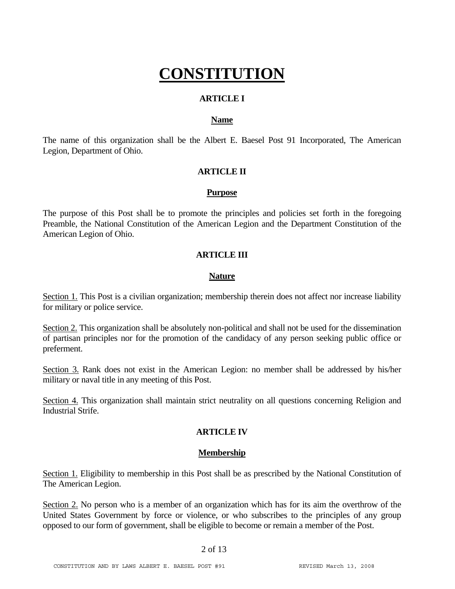# **CONSTITUTION**

## **ARTICLE I**

#### **Name**

The name of this organization shall be the Albert E. Baesel Post 91 Incorporated, The American Legion, Department of Ohio.

## **ARTICLE II**

#### **Purpose**

The purpose of this Post shall be to promote the principles and policies set forth in the foregoing Preamble, the National Constitution of the American Legion and the Department Constitution of the American Legion of Ohio.

#### **ARTICLE III**

#### **Nature**

Section 1. This Post is a civilian organization; membership therein does not affect nor increase liability for military or police service.

Section 2. This organization shall be absolutely non-political and shall not be used for the dissemination of partisan principles nor for the promotion of the candidacy of any person seeking public office or preferment.

Section 3. Rank does not exist in the American Legion: no member shall be addressed by his/her military or naval title in any meeting of this Post.

Section 4. This organization shall maintain strict neutrality on all questions concerning Religion and Industrial Strife.

## **ARTICLE IV**

## **Membership**

Section 1. Eligibility to membership in this Post shall be as prescribed by the National Constitution of The American Legion.

Section 2. No person who is a member of an organization which has for its aim the overthrow of the United States Government by force or violence, or who subscribes to the principles of any group opposed to our form of government, shall be eligible to become or remain a member of the Post.

#### 2 of 13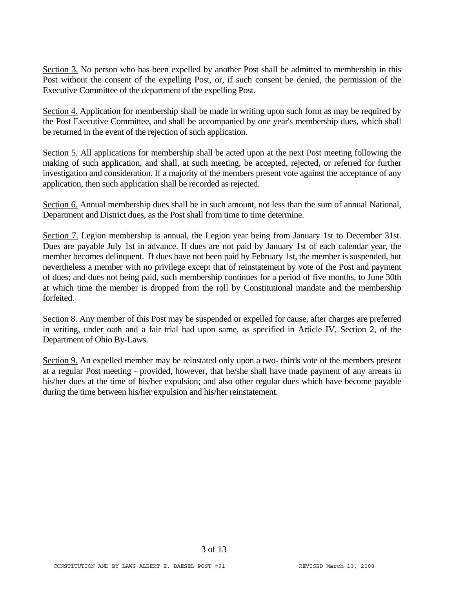Section 3. No person who has been expelled by another Post shall be admitted to membership in this Post without the consent of the expelling Post, or, if such consent be denied, the permission of the Executive Committee of the department of the expelling Post.

Section 4. Application for membership shall be made in writing upon such form as may be required by the Post Executive Committee, and shall be accompanied by one year's membership dues, which shall be returned in the event of the rejection of such application.

Section 5. All applications for membership shall be acted upon at the next Post meeting following the making of such application, and shall, at such meeting, be accepted, rejected, or referred for further investigation and consideration. If a majority of the members present vote against the acceptance of any application, then such application shall be recorded as rejected.

Section 6. Annual membership dues shall be in such amount, not less than the sum of annual National, Department and District dues, as the Post shall from time to time determine.

Section 7. Legion membership is annual, the Legion year being from January 1st to December 31st. Dues are payable July 1st in advance. If dues are not paid by January 1st of each calendar year, the member becomes delinquent. If dues have not been paid by February 1st, the member is suspended, but nevertheless a member with no privilege except that of reinstatement by vote of the Post and payment of dues; and dues not being paid, such membership continues for a period of five months, to June 30th at which time the member is dropped from the roll by Constitutional mandate and the membership forfeited.

Section 8. Any member of this Post may be suspended or expelled for cause, after charges are preferred in writing, under oath and a fair trial had upon same, as specified in Article IV, Section 2, of the Department of Ohio By-Laws.

Section 9. An expelled member may be reinstated only upon a two- thirds vote of the members present at a regular Post meeting - provided, however, that he/she shall have made payment of any arrears in his/her dues at the time of his/her expulsion; and also other regular dues which have become payable during the time between his/her expulsion and his/her reinstatement.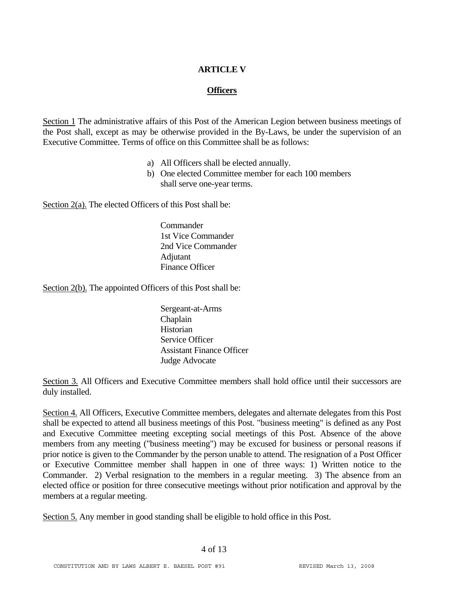## **ARTICLE V**

## **Officers**

Section 1 The administrative affairs of this Post of the American Legion between business meetings of the Post shall, except as may be otherwise provided in the By-Laws, be under the supervision of an Executive Committee. Terms of office on this Committee shall be as follows:

- a) All Officers shall be elected annually.
- b) One elected Committee member for each 100 members shall serve one-year terms.

Section 2(a). The elected Officers of this Post shall be:

**Commander** 1st Vice Commander 2nd Vice Commander Adjutant Finance Officer

Section 2(b). The appointed Officers of this Post shall be:

Sergeant-at-Arms Chaplain Historian Service Officer Assistant Finance Officer Judge Advocate

Section 3. All Officers and Executive Committee members shall hold office until their successors are duly installed.

Section 4. All Officers, Executive Committee members, delegates and alternate delegates from this Post shall be expected to attend all business meetings of this Post. "business meeting" is defined as any Post and Executive Committee meeting excepting social meetings of this Post. Absence of the above members from any meeting ("business meeting") may be excused for business or personal reasons if prior notice is given to the Commander by the person unable to attend. The resignation of a Post Officer or Executive Committee member shall happen in one of three ways: 1) Written notice to the Commander. 2) Verbal resignation to the members in a regular meeting. 3) The absence from an elected office or position for three consecutive meetings without prior notification and approval by the members at a regular meeting.

Section 5. Any member in good standing shall be eligible to hold office in this Post.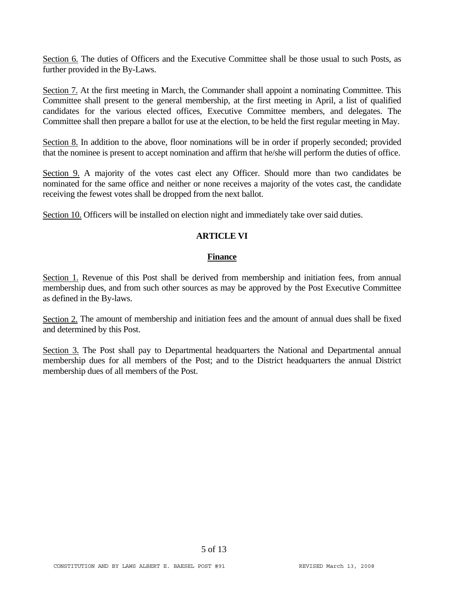Section 6. The duties of Officers and the Executive Committee shall be those usual to such Posts, as further provided in the By-Laws.

Section 7. At the first meeting in March, the Commander shall appoint a nominating Committee. This Committee shall present to the general membership, at the first meeting in April, a list of qualified candidates for the various elected offices, Executive Committee members, and delegates. The Committee shall then prepare a ballot for use at the election, to be held the first regular meeting in May.

Section 8. In addition to the above, floor nominations will be in order if properly seconded; provided that the nominee is present to accept nomination and affirm that he/she will perform the duties of office.

Section 9. A majority of the votes cast elect any Officer. Should more than two candidates be nominated for the same office and neither or none receives a majority of the votes cast, the candidate receiving the fewest votes shall be dropped from the next ballot.

Section 10. Officers will be installed on election night and immediately take over said duties.

## **ARTICLE VI**

#### **Finance**

Section 1. Revenue of this Post shall be derived from membership and initiation fees, from annual membership dues, and from such other sources as may be approved by the Post Executive Committee as defined in the By-laws.

Section 2. The amount of membership and initiation fees and the amount of annual dues shall be fixed and determined by this Post.

Section 3. The Post shall pay to Departmental headquarters the National and Departmental annual membership dues for all members of the Post; and to the District headquarters the annual District membership dues of all members of the Post.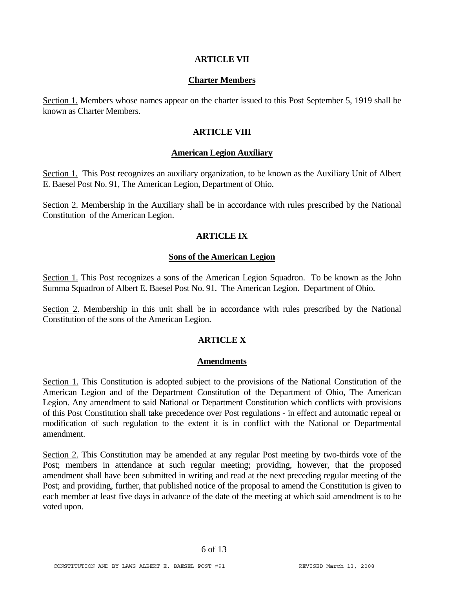#### **ARTICLE VII**

#### **Charter Members**

Section 1. Members whose names appear on the charter issued to this Post September 5, 1919 shall be known as Charter Members.

#### **ARTICLE VIII**

#### **American Legion Auxiliary**

Section 1. This Post recognizes an auxiliary organization, to be known as the Auxiliary Unit of Albert E. Baesel Post No. 91, The American Legion, Department of Ohio.

Section 2. Membership in the Auxiliary shall be in accordance with rules prescribed by the National Constitution of the American Legion.

## **ARTICLE IX**

#### **Sons of the American Legion**

Section 1. This Post recognizes a sons of the American Legion Squadron. To be known as the John Summa Squadron of Albert E. Baesel Post No. 91. The American Legion. Department of Ohio.

Section 2. Membership in this unit shall be in accordance with rules prescribed by the National Constitution of the sons of the American Legion.

## **ARTICLE X**

#### **Amendments**

Section 1. This Constitution is adopted subject to the provisions of the National Constitution of the American Legion and of the Department Constitution of the Department of Ohio, The American Legion. Any amendment to said National or Department Constitution which conflicts with provisions of this Post Constitution shall take precedence over Post regulations - in effect and automatic repeal or modification of such regulation to the extent it is in conflict with the National or Departmental amendment.

Section 2. This Constitution may be amended at any regular Post meeting by two-thirds vote of the Post; members in attendance at such regular meeting; providing, however, that the proposed amendment shall have been submitted in writing and read at the next preceding regular meeting of the Post; and providing, further, that published notice of the proposal to amend the Constitution is given to each member at least five days in advance of the date of the meeting at which said amendment is to be voted upon.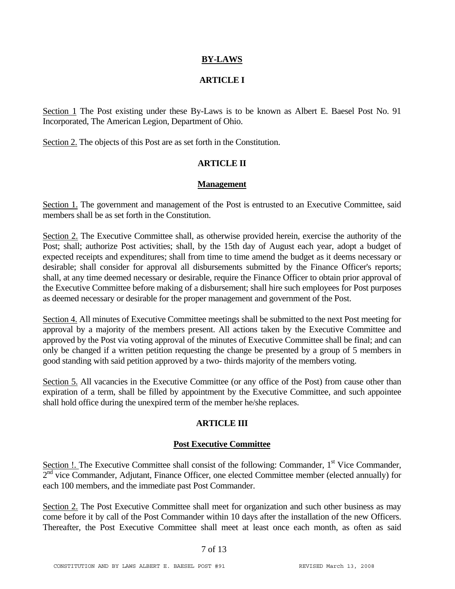## **BY-LAWS**

## **ARTICLE I**

Section 1 The Post existing under these By-Laws is to be known as Albert E. Baesel Post No. 91 Incorporated, The American Legion, Department of Ohio.

Section 2. The objects of this Post are as set forth in the Constitution.

## **ARTICLE II**

#### **Management**

Section 1. The government and management of the Post is entrusted to an Executive Committee, said members shall be as set forth in the Constitution.

Section 2. The Executive Committee shall, as otherwise provided herein, exercise the authority of the Post; shall; authorize Post activities; shall, by the 15th day of August each year, adopt a budget of expected receipts and expenditures; shall from time to time amend the budget as it deems necessary or desirable; shall consider for approval all disbursements submitted by the Finance Officer's reports; shall, at any time deemed necessary or desirable, require the Finance Officer to obtain prior approval of the Executive Committee before making of a disbursement; shall hire such employees for Post purposes as deemed necessary or desirable for the proper management and government of the Post.

Section 4. All minutes of Executive Committee meetings shall be submitted to the next Post meeting for approval by a majority of the members present. All actions taken by the Executive Committee and approved by the Post via voting approval of the minutes of Executive Committee shall be final; and can only be changed if a written petition requesting the change be presented by a group of 5 members in good standing with said petition approved by a two- thirds majority of the members voting.

Section 5. All vacancies in the Executive Committee (or any office of the Post) from cause other than expiration of a term, shall be filled by appointment by the Executive Committee, and such appointee shall hold office during the unexpired term of the member he/she replaces.

## **ARTICLE III**

## **Post Executive Committee**

Section !. The Executive Committee shall consist of the following: Commander, 1<sup>st</sup> Vice Commander,  $2<sup>nd</sup>$  vice Commander, Adjutant, Finance Officer, one elected Committee member (elected annually) for each 100 members, and the immediate past Post Commander.

Section 2. The Post Executive Committee shall meet for organization and such other business as may come before it by call of the Post Commander within 10 days after the installation of the new Officers. Thereafter, the Post Executive Committee shall meet at least once each month, as often as said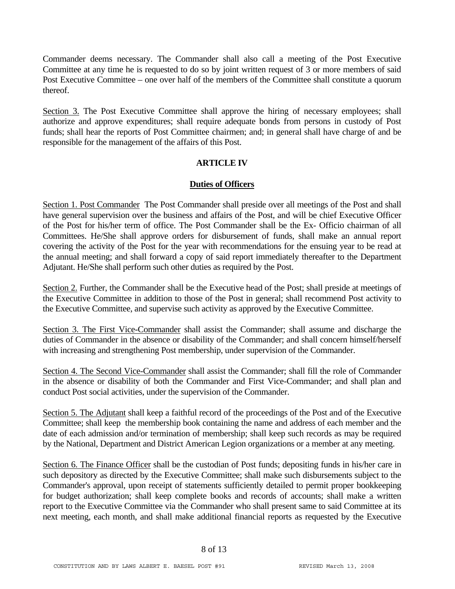Commander deems necessary. The Commander shall also call a meeting of the Post Executive Committee at any time he is requested to do so by joint written request of 3 or more members of said Post Executive Committee – one over half of the members of the Committee shall constitute a quorum thereof.

Section 3. The Post Executive Committee shall approve the hiring of necessary employees; shall authorize and approve expenditures; shall require adequate bonds from persons in custody of Post funds; shall hear the reports of Post Committee chairmen; and; in general shall have charge of and be responsible for the management of the affairs of this Post.

## **ARTICLE IV**

## **Duties of Officers**

Section 1. Post Commander The Post Commander shall preside over all meetings of the Post and shall have general supervision over the business and affairs of the Post, and will be chief Executive Officer of the Post for his/her term of office. The Post Commander shall be the Ex- Officio chairman of all Committees. He/She shall approve orders for disbursement of funds, shall make an annual report covering the activity of the Post for the year with recommendations for the ensuing year to be read at the annual meeting; and shall forward a copy of said report immediately thereafter to the Department Adjutant. He/She shall perform such other duties as required by the Post.

Section 2. Further, the Commander shall be the Executive head of the Post; shall preside at meetings of the Executive Committee in addition to those of the Post in general; shall recommend Post activity to the Executive Committee, and supervise such activity as approved by the Executive Committee.

Section 3. The First Vice-Commander shall assist the Commander; shall assume and discharge the duties of Commander in the absence or disability of the Commander; and shall concern himself/herself with increasing and strengthening Post membership, under supervision of the Commander.

Section 4. The Second Vice-Commander shall assist the Commander; shall fill the role of Commander in the absence or disability of both the Commander and First Vice-Commander; and shall plan and conduct Post social activities, under the supervision of the Commander.

Section 5. The Adjutant shall keep a faithful record of the proceedings of the Post and of the Executive Committee; shall keep the membership book containing the name and address of each member and the date of each admission and/or termination of membership; shall keep such records as may be required by the National, Department and District American Legion organizations or a member at any meeting.

Section 6. The Finance Officer shall be the custodian of Post funds; depositing funds in his/her care in such depository as directed by the Executive Committee; shall make such disbursements subject to the Commander's approval, upon receipt of statements sufficiently detailed to permit proper bookkeeping for budget authorization; shall keep complete books and records of accounts; shall make a written report to the Executive Committee via the Commander who shall present same to said Committee at its next meeting, each month, and shall make additional financial reports as requested by the Executive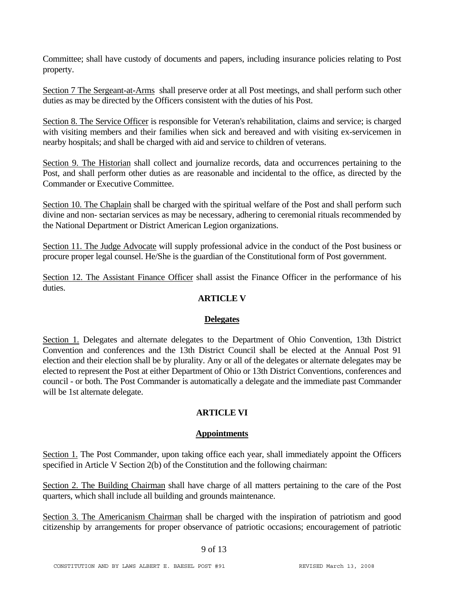Committee; shall have custody of documents and papers, including insurance policies relating to Post property.

Section 7 The Sergeant-at-Arms shall preserve order at all Post meetings, and shall perform such other duties as may be directed by the Officers consistent with the duties of his Post.

Section 8. The Service Officer is responsible for Veteran's rehabilitation, claims and service; is charged with visiting members and their families when sick and bereaved and with visiting ex-servicemen in nearby hospitals; and shall be charged with aid and service to children of veterans.

Section 9. The Historian shall collect and journalize records, data and occurrences pertaining to the Post, and shall perform other duties as are reasonable and incidental to the office, as directed by the Commander or Executive Committee.

Section 10. The Chaplain shall be charged with the spiritual welfare of the Post and shall perform such divine and non- sectarian services as may be necessary, adhering to ceremonial rituals recommended by the National Department or District American Legion organizations.

Section 11. The Judge Advocate will supply professional advice in the conduct of the Post business or procure proper legal counsel. He/She is the guardian of the Constitutional form of Post government.

Section 12. The Assistant Finance Officer shall assist the Finance Officer in the performance of his duties.

## **ARTICLE V**

## **Delegates**

Section 1. Delegates and alternate delegates to the Department of Ohio Convention, 13th District Convention and conferences and the 13th District Council shall be elected at the Annual Post 91 election and their election shall be by plurality. Any or all of the delegates or alternate delegates may be elected to represent the Post at either Department of Ohio or 13th District Conventions, conferences and council - or both. The Post Commander is automatically a delegate and the immediate past Commander will be 1st alternate delegate.

## **ARTICLE VI**

## **Appointments**

Section 1. The Post Commander, upon taking office each year, shall immediately appoint the Officers specified in Article V Section 2(b) of the Constitution and the following chairman:

Section 2. The Building Chairman shall have charge of all matters pertaining to the care of the Post quarters, which shall include all building and grounds maintenance.

Section 3. The Americanism Chairman shall be charged with the inspiration of patriotism and good citizenship by arrangements for proper observance of patriotic occasions; encouragement of patriotic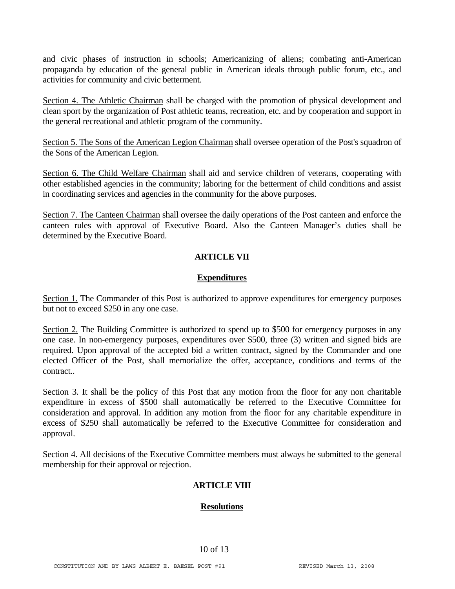and civic phases of instruction in schools; Americanizing of aliens; combating anti-American propaganda by education of the general public in American ideals through public forum, etc., and activities for community and civic betterment.

Section 4. The Athletic Chairman shall be charged with the promotion of physical development and clean sport by the organization of Post athletic teams, recreation, etc. and by cooperation and support in the general recreational and athletic program of the community.

Section 5. The Sons of the American Legion Chairman shall oversee operation of the Post's squadron of the Sons of the American Legion.

Section 6. The Child Welfare Chairman shall aid and service children of veterans, cooperating with other established agencies in the community; laboring for the betterment of child conditions and assist in coordinating services and agencies in the community for the above purposes.

Section 7. The Canteen Chairman shall oversee the daily operations of the Post canteen and enforce the canteen rules with approval of Executive Board. Also the Canteen Manager's duties shall be determined by the Executive Board.

## **ARTICLE VII**

## **Expenditures**

Section 1. The Commander of this Post is authorized to approve expenditures for emergency purposes but not to exceed \$250 in any one case.

Section 2. The Building Committee is authorized to spend up to \$500 for emergency purposes in any one case. In non-emergency purposes, expenditures over \$500, three (3) written and signed bids are required. Upon approval of the accepted bid a written contract, signed by the Commander and one elected Officer of the Post, shall memorialize the offer, acceptance, conditions and terms of the contract..

Section 3. It shall be the policy of this Post that any motion from the floor for any non charitable expenditure in excess of \$500 shall automatically be referred to the Executive Committee for consideration and approval. In addition any motion from the floor for any charitable expenditure in excess of \$250 shall automatically be referred to the Executive Committee for consideration and approval.

Section 4. All decisions of the Executive Committee members must always be submitted to the general membership for their approval or rejection.

## **ARTICLE VIII**

## **Resolutions**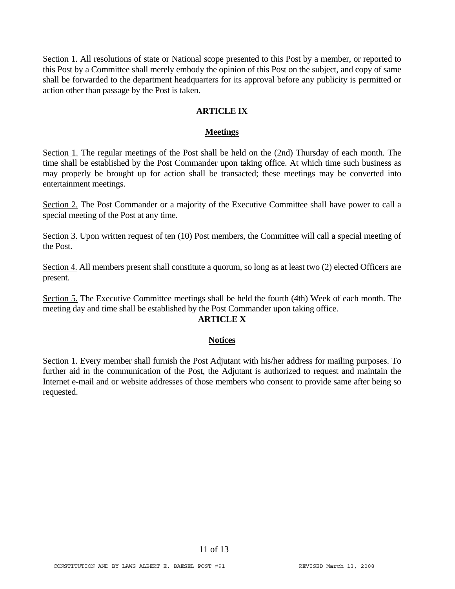Section 1. All resolutions of state or National scope presented to this Post by a member, or reported to this Post by a Committee shall merely embody the opinion of this Post on the subject, and copy of same shall be forwarded to the department headquarters for its approval before any publicity is permitted or action other than passage by the Post is taken.

## **ARTICLE IX**

#### **Meetings**

Section 1. The regular meetings of the Post shall be held on the (2nd) Thursday of each month. The time shall be established by the Post Commander upon taking office. At which time such business as may properly be brought up for action shall be transacted; these meetings may be converted into entertainment meetings.

Section 2. The Post Commander or a majority of the Executive Committee shall have power to call a special meeting of the Post at any time.

Section 3. Upon written request of ten (10) Post members, the Committee will call a special meeting of the Post.

Section 4. All members present shall constitute a quorum, so long as at least two (2) elected Officers are present.

Section 5. The Executive Committee meetings shall be held the fourth (4th) Week of each month. The meeting day and time shall be established by the Post Commander upon taking office.

## **ARTICLE X**

#### **Notices**

Section 1. Every member shall furnish the Post Adjutant with his/her address for mailing purposes. To further aid in the communication of the Post, the Adjutant is authorized to request and maintain the Internet e-mail and or website addresses of those members who consent to provide same after being so requested.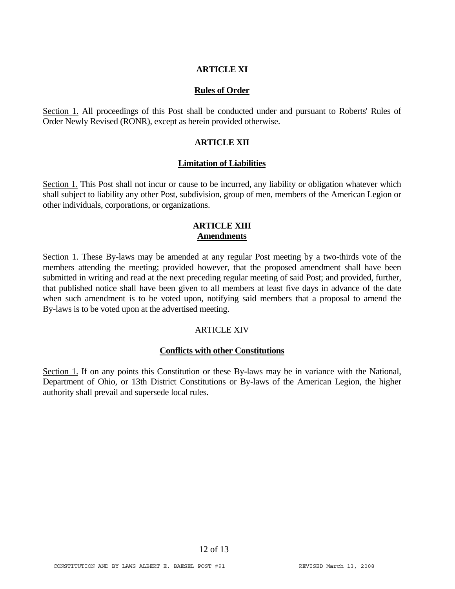#### **ARTICLE XI**

#### **Rules of Order**

Section 1. All proceedings of this Post shall be conducted under and pursuant to Roberts' Rules of Order Newly Revised (RONR), except as herein provided otherwise.

#### **ARTICLE XII**

#### **Limitation of Liabilities**

Section 1. This Post shall not incur or cause to be incurred, any liability or obligation whatever which shall subject to liability any other Post, subdivision, group of men, members of the American Legion or other individuals, corporations, or organizations.

## **ARTICLE XIII Amendments**

Section 1. These By-laws may be amended at any regular Post meeting by a two-thirds vote of the members attending the meeting; provided however, that the proposed amendment shall have been submitted in writing and read at the next preceding regular meeting of said Post; and provided, further, that published notice shall have been given to all members at least five days in advance of the date when such amendment is to be voted upon, notifying said members that a proposal to amend the By-laws is to be voted upon at the advertised meeting.

## **ARTICLE XIV**

#### **Conflicts with other Constitutions**

Section 1. If on any points this Constitution or these By-laws may be in variance with the National, Department of Ohio, or 13th District Constitutions or By-laws of the American Legion, the higher authority shall prevail and supersede local rules.